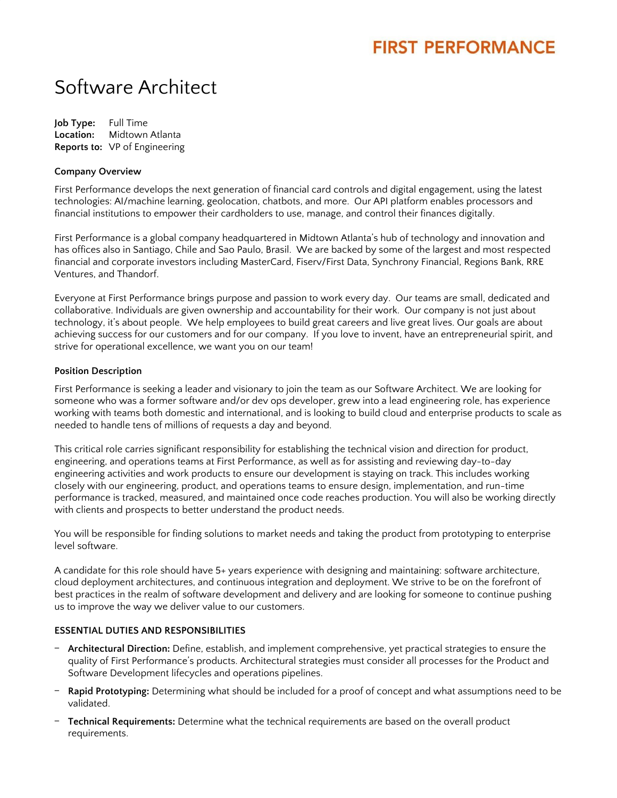## **FIRST PERFORMANCE**

# Software Architect

**Job Type:** Full Time **Location:** Midtown Atlanta **Reports to:** VP of Engineering

#### **Company Overview**

First Performance develops the next generation of financial card controls and digital engagement, using the latest technologies: AI/machine learning, geolocation, chatbots, and more. Our API platform enables processors and financial institutions to empower their cardholders to use, manage, and control their finances digitally.

First Performance is a global company headquartered in Midtown Atlanta's hub of technology and innovation and has offices also in Santiago, Chile and Sao Paulo, Brasil. We are backed by some of the largest and most respected financial and corporate investors including MasterCard, Fiserv/First Data, Synchrony Financial, Regions Bank, RRE Ventures, and Thandorf.

Everyone at First Performance brings purpose and passion to work every day. Our teams are small, dedicated and collaborative. Individuals are given ownership and accountability for their work. Our company is not just about technology, it's about people. We help employees to build great careers and live great lives. Our goals are about achieving success for our customers and for our company. If you love to invent, have an entrepreneurial spirit, and strive for operational excellence, we want you on our team!

#### **Position Description**

First Performance is seeking a leader and visionary to join the team as our Software Architect. We are looking for someone who was a former software and/or dev ops developer, grew into a lead engineering role, has experience working with teams both domestic and international, and is looking to build cloud and enterprise products to scale as needed to handle tens of millions of requests a day and beyond.

This critical role carries significant responsibility for establishing the technical vision and direction for product, engineering, and operations teams at First Performance, as well as for assisting and reviewing day-to-day engineering activities and work products to ensure our development is staying on track. This includes working closely with our engineering, product, and operations teams to ensure design, implementation, and run-time performance is tracked, measured, and maintained once code reaches production. You will also be working directly with clients and prospects to better understand the product needs.

You will be responsible for finding solutions to market needs and taking the product from prototyping to enterprise level software.

A candidate for this role should have 5+ years experience with designing and maintaining: software architecture, cloud deployment architectures, and continuous integration and deployment. We strive to be on the forefront of best practices in the realm of software development and delivery and are looking for someone to continue pushing us to improve the way we deliver value to our customers.

#### **ESSENTIAL DUTIES AND RESPONSIBILITIES**

- ‒ **Architectural Direction:** Define, establish, and implement comprehensive, yet practical strategies to ensure the quality of First Performance's products. Architectural strategies must consider all processes for the Product and Software Development lifecycles and operations pipelines.
- ‒ **Rapid Prototyping:** Determining what should be included for a proof of concept and what assumptions need to be validated.
- ‒ **Technical Requirements:** Determine what the technical requirements are based on the overall product requirements.